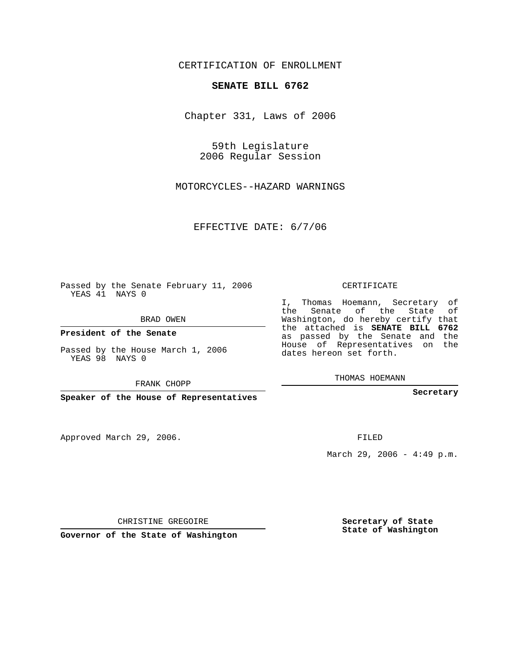CERTIFICATION OF ENROLLMENT

## **SENATE BILL 6762**

Chapter 331, Laws of 2006

59th Legislature 2006 Regular Session

MOTORCYCLES--HAZARD WARNINGS

EFFECTIVE DATE: 6/7/06

Passed by the Senate February 11, 2006 YEAS 41 NAYS 0

BRAD OWEN

**President of the Senate**

Passed by the House March 1, 2006 YEAS 98 NAYS 0

FRANK CHOPP

**Speaker of the House of Representatives**

Approved March 29, 2006.

CERTIFICATE

I, Thomas Hoemann, Secretary of the Senate of the State of Washington, do hereby certify that the attached is **SENATE BILL 6762** as passed by the Senate and the House of Representatives on the dates hereon set forth.

THOMAS HOEMANN

**Secretary**

FILED

March 29, 2006 -  $4:49$  p.m.

CHRISTINE GREGOIRE

**Governor of the State of Washington**

**Secretary of State State of Washington**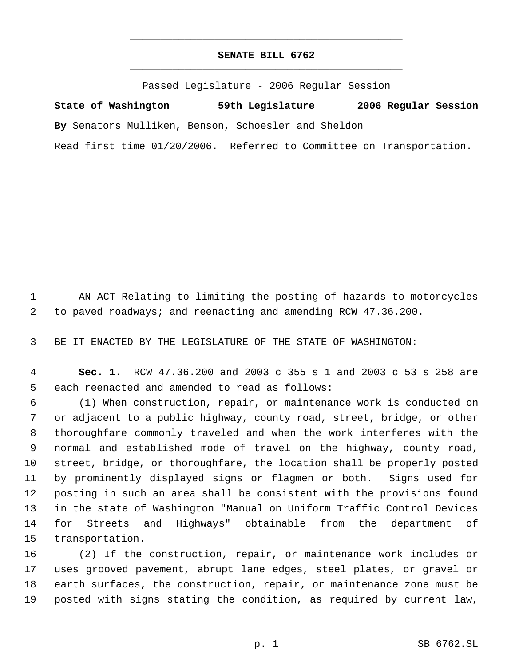## **SENATE BILL 6762** \_\_\_\_\_\_\_\_\_\_\_\_\_\_\_\_\_\_\_\_\_\_\_\_\_\_\_\_\_\_\_\_\_\_\_\_\_\_\_\_\_\_\_\_\_

\_\_\_\_\_\_\_\_\_\_\_\_\_\_\_\_\_\_\_\_\_\_\_\_\_\_\_\_\_\_\_\_\_\_\_\_\_\_\_\_\_\_\_\_\_

Passed Legislature - 2006 Regular Session

**State of Washington 59th Legislature 2006 Regular Session By** Senators Mulliken, Benson, Schoesler and Sheldon Read first time 01/20/2006. Referred to Committee on Transportation.

 AN ACT Relating to limiting the posting of hazards to motorcycles to paved roadways; and reenacting and amending RCW 47.36.200.

BE IT ENACTED BY THE LEGISLATURE OF THE STATE OF WASHINGTON:

 **Sec. 1.** RCW 47.36.200 and 2003 c 355 s 1 and 2003 c 53 s 258 are each reenacted and amended to read as follows:

 (1) When construction, repair, or maintenance work is conducted on or adjacent to a public highway, county road, street, bridge, or other thoroughfare commonly traveled and when the work interferes with the normal and established mode of travel on the highway, county road, street, bridge, or thoroughfare, the location shall be properly posted by prominently displayed signs or flagmen or both. Signs used for posting in such an area shall be consistent with the provisions found in the state of Washington "Manual on Uniform Traffic Control Devices for Streets and Highways" obtainable from the department of transportation.

 (2) If the construction, repair, or maintenance work includes or uses grooved pavement, abrupt lane edges, steel plates, or gravel or earth surfaces, the construction, repair, or maintenance zone must be posted with signs stating the condition, as required by current law,